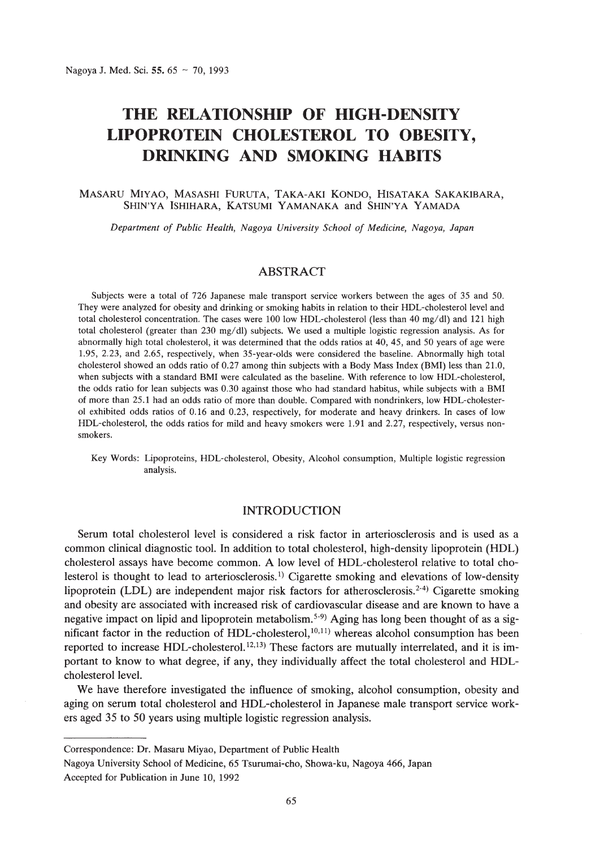# **THE RELATIONSHIP OF HIGH-DENSITY LIPOPROTEIN CHOLESTEROL TO OBESITY, DRINKING AND SMOKING HABITS**

#### MASARU MIYAO, MASASHI FuRUTA, TAKA-AKI KONDO, HISATAKA SAKAKIBARA, SHIN'YA ISHIHARA, KATSUMI YAMANAKA and SHIN'YA YAMADA

*Department of Public Health, Nagoya University School of Medicine, Nagoya, Japan*

## ABSTRACT

Subjects were a total of 726 Japanese male transport service workers between the ages of 35 and 50. They were analyzed for obesity and drinking or smoking habits in relation to their HDL-cholesterollevel and total cholesterol concentration. The cases were 100 low HDL-cholesterol (less than 40 mg/dl) and 121 high total cholesterol (greater than 230 mg/dl) subjects. We used a multiple logistic regression analysis. As for abnormally high total cholesterol, it was determined that the odds ratios at 40, 45, and 50 years of age were 1.95, 2.23, and 2.65, respectively, when 35-year-olds were considered the baseline. Abnormally high total cholesterol showed an odds ratio of 0.27 among thin subjects with a Body Mass Index (BMI) less than 21.0, when subjects with a standard BMI were calculated as the baseline. With reference to low HDL-cholesterol, the odds ratio for lean subjects was 0.30 against those who had standard habitus, while subjects with a BMI of more than 25.1 had an odds ratio of more than double. Compared with nondrinkers, low HDL-cholester-01 exhibited odds ratios of 0.16 and 0.23, respectively, for moderate and heavy drinkers. In cases of low HDL-cholesterol, the odds ratios for mild and heavy smokers were 1.91 and 2.27, respectively, versus nonsmokers.

Key Words: Lipoproteins, HDL-cholesterol, Obesity, Alcohol consumption, Multiple logistic regression analysis.

# INTRODUCTION

Serum total cholesterol level is considered a risk factor in arteriosclerosis and is used as a common clinical diagnostic tool. In addition to total cholesterol, high-density lipoprotein (HDL) cholesterol assays have become common. A low level of HDL-cholesterol relative to total cholesterol is thought to lead to arteriosclerosis. I) Cigarette smoking and elevations of low-density lipoprotein (LDL) are independent major risk factors for atherosclerosis.<sup>2-4</sup>) Cigarette smoking and obesity are associated with increased risk of cardiovascular disease and are known to have a negative impact on lipid and lipoprotein metabolism.<sup>5-9</sup> Aging has long been thought of as a significant factor in the reduction of HDL-cholesterol, $10,11)$  whereas alcohol consumption has been reported to increase HDL-cholesterol.<sup>12,13)</sup> These factors are mutually interrelated, and it is important to know to what degree, if any, they individually affect the total cholesterol and HDLcholesterol level.

We have therefore investigated the influence of smoking, alcohol consumption, obesity and aging on serum total cholesterol and HDL-cholesterol in Japanese male transport service workers aged 35 to 50 years using multiple logistic regression analysis.

Correspondence: Dr. Masaru Miyao, Department of Public Health

Nagoya University School of Medicine, 65 Tsurumai-cho, Showa-ku, Nagoya 466, Japan Accepted for Publication in June 10, 1992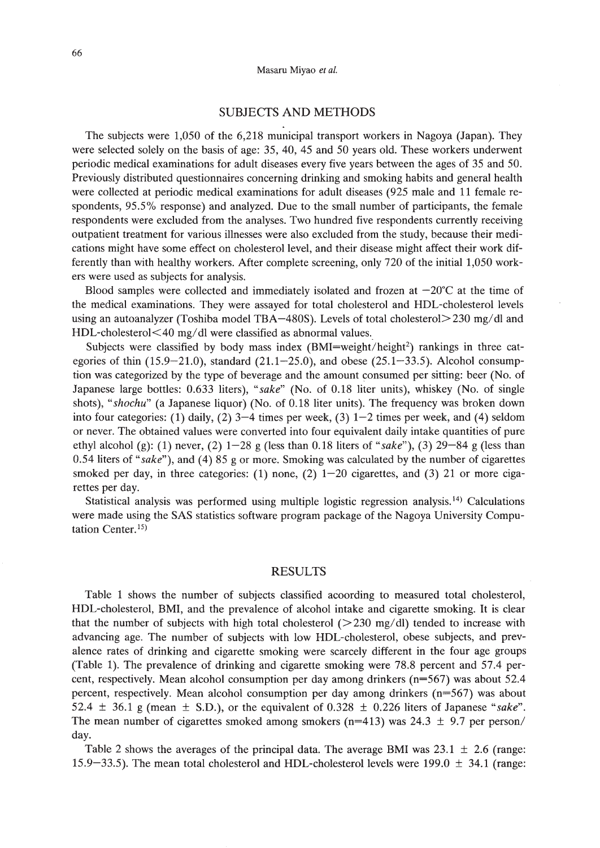# SUBJECTS AND METHODS

The subjects were 1,050 of the 6,218 municipal transport workers in Nagoya (Japan). They were selected solely on the basis of age: 35, 40, 45 and 50 years old. These workers underwent periodic medical examinations for adult diseases every five years between the ages of 35 and 50. Previously distributed questionnaires concerning drinking and smoking habits and general health were collected at periodic medical examinations for adult diseases (925 male and 11 female respondents, 95.5% response) and analyzed. Due to the small number of participants, the female respondents were excluded from the analyses. Two hundred five respondents currently receiving outpatient treatment for various illnesses were also excluded from the study, because their medications might have some effect on cholesterol level, and their disease might affect their work differently than with healthy workers. After complete screening, only 720 of the initial 1,050 workers were used as subjects for analysis.

Blood samples were collected and immediately isolated and frozen at  $-20^{\circ}$ C at the time of the medical examinations. They were assayed for total cholesterol and HDL-cholesterol levels using an autoanalyzer (Toshiba model TBA-480S). Levels of total cholesterol > 230 mg/dl and HDL-cholesterol<40 mg/dl were classified as abnormal values.

Subjects were classified by body mass index  $(BMI=weight/height^2)$  rankings in three categories of thin  $(15.9-21.0)$ , standard  $(21.1-25.0)$ , and obese  $(25.1-33.5)$ . Alcohol consumption was categorized by the type of beverage and the amount consumed per sitting: beer (No. of Japanese large bottles: 0.633 liters), *"sake"* (No. of 0.18 liter units), whiskey (No. of single shots), *"shochu"* (a Japanese liquor) (No. of 0.18 liter units). The frequency was broken down into four categories: (1) daily, (2)  $3-4$  times per week, (3)  $1-2$  times per week, and (4) seldom or never. The obtained values were converted into four equivalent daily intake quantities of pure ethyl alcohol (g): (1) never, (2) 1-28 g (less than 0.18 liters of *"sake"),* (3) 29-84 g (less than 0.54 liters of *"sake"),* and (4) 85 g or more. Smoking was calculated by the number of cigarettes smoked per day, in three categories: (1) none, (2)  $1-20$  cigarettes, and (3) 21 or more cigarettes per day.

Statistical analysis was performed using multiple logistic regression analysis.<sup>14)</sup> Calculations were made using the SAS statistics software program package of the Nagoya University Computation Center.<sup>15)</sup>

## RESULTS

Table 1 shows the number of subjects classified acoording to measured total cholesterol, HDL-cholesterol, BMI, and the prevalence of alcohol intake and cigarette smoking. It is clear that the number of subjects with high total cholesterol  $(>230 \text{ mg/dl})$  tended to increase with advancing age. The number of subjects with low HDL-cholesterol, obese subjects, and prevalence rates of drinking and cigarette smoking were scarcely different in the four age groups (Table 1). The prevalence of drinking and cigarette smoking were 78.8 percent and 57.4 percent, respectively. Mean alcohol consumption per day among drinkers (n=567) was about 52.4 percent, respectively. Mean alcohol consumption per day among drinkers (n=567) was about 52.4  $\pm$  36.1 g (mean  $\pm$  S.D.), or the equivalent of 0.328  $\pm$  0.226 liters of Japanese "sake". The mean number of cigarettes smoked among smokers ( $n=413$ ) was 24.3  $\pm$  9.7 per person/ day.

Table 2 shows the averages of the principal data. The average BMI was  $23.1 \pm 2.6$  (range: 15.9-33.5). The mean total cholesterol and HDL-cholesterol levels were 199.0  $\pm$  34.1 (range: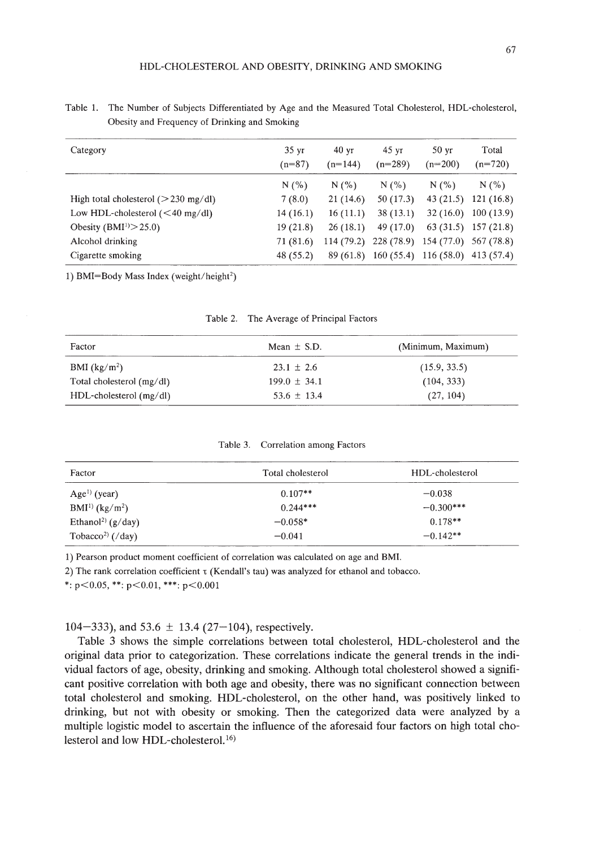| Category                                 | $35 \text{ yr}$<br>$(n=87)$ | $40 \text{ yr}$<br>$(n=144)$ | $45 \text{ yr}$<br>$(n=289)$ | $50 \text{ yr}$<br>$(n=200)$      | Total<br>$(n=720)$    |
|------------------------------------------|-----------------------------|------------------------------|------------------------------|-----------------------------------|-----------------------|
|                                          | N(% )                       | N(%                          | N(%                          | N(% )                             | N(%                   |
| High total cholesterol ( $>$ 230 mg/dl)  | 7(8.0)                      | 21(14.6)                     | 50(17.3)                     | 43(21.5)                          | 121(16.8)             |
| Low HDL-cholesterol $(40 \text{ mg/dl})$ | 14(16.1)                    | 16(11.1)                     | 38(13.1)                     | 32(16.0)                          | 100(13.9)             |
| Obesity ( $\text{BMI}^{1}$ ) > 25.0)     | 19(21.8)                    | 26(18.1)                     | 49 $(17.0)$                  |                                   | $63(31.5)$ 157 (21.8) |
| Alcohol drinking                         | 71 (81.6)                   | 114(79.2)                    | $228(78.9)$ 154 (77.0)       |                                   | 567 (78.8)            |
| Cigarette smoking                        | 48 (55.2)                   | 89 (61.8)                    |                              | $160(55.4)$ 116 (58.0) 413 (57.4) |                       |

Table 1. The Number of Subjects Differentiated by Age and the Measured Total Cholesterol, HDL-cholesterol, Obesity and Frequency of Drinking and Smoking

1) BMI=Body Mass Index (weight/height<sup>2</sup>)

| Factor                      | Mean $\pm$ S.D.  | (Minimum, Maximum) |  |
|-----------------------------|------------------|--------------------|--|
| BMI $(kg/m2)$               | $23.1 \pm 2.6$   | (15.9, 33.5)       |  |
| Total cholesterol $(mg/dl)$ | $199.0 \pm 34.1$ | (104, 333)         |  |
| $HDL$ -cholesterol (mg/dl)  | $53.6 \pm 13.4$  | (27, 104)          |  |

Table 2. The Average of Principal Factors

Table 3. Correlation among Factors

| Factor                            | Total cholesterol | HDL-cholesterol |
|-----------------------------------|-------------------|-----------------|
| $Age1$ (year)                     | $0.107**$         | $-0.038$        |
| $BMI^{1}$ (kg/m <sup>2</sup> )    | $0.244***$        | $-0.300***$     |
| Ethanol <sup>2)</sup> ( $g/day$ ) | $-0.058*$         | $0.178**$       |
| Tobacco <sup>2)</sup> (/day)      | $-0.041$          | $-0.142**$      |

1) Pearson product moment coefficient of correlation was calculated on age and BMI.

2) The rank correlation coefficient  $\tau$  (Kendall's tau) was analyzed for ethanol and tobacco.

\*:  $p$  < 0.05, \*\*:  $p$  < 0.01, \*\*\*:  $p$  < 0.001

104-333), and 53.6  $\pm$  13.4 (27-104), respectively.

Table 3 shows the simple correlations between total cholesterol, HDL-cholesterol and the original data prior to categorization. These correlations indicate the general trends in the individual factors of age, obesity, drinking and smoking. Although total cholesterol showed a significant positive correlation with both age and obesity, there was no significant connection between total cholesterol and smoking. HDL-cholesterol, on the other hand, was positively linked to drinking, but not with obesity or smoking. Then the categorized data were analyzed by a multiple logistic model to ascertain the influence of the aforesaid four factors on high total cholesterol and low HDL-cholesterol.<sup>16)</sup>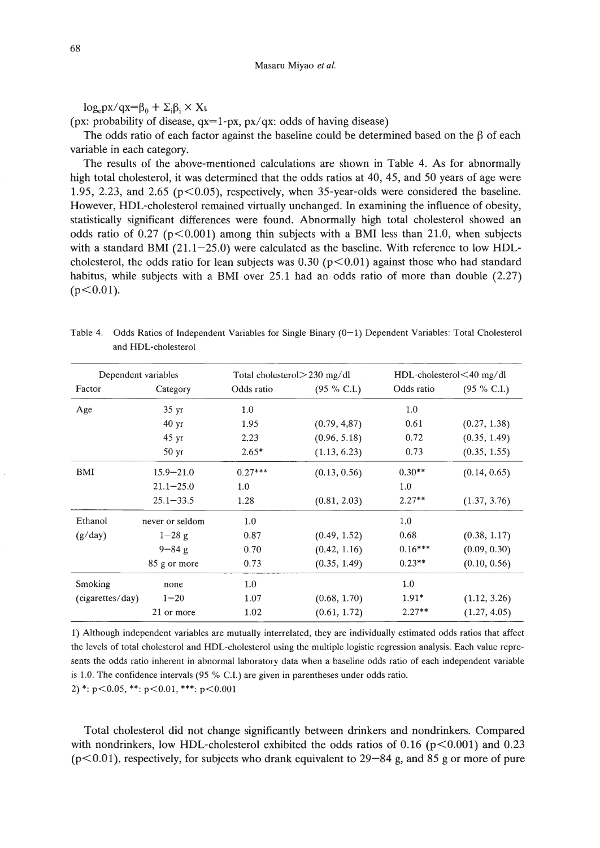$log_{e}px/qx=\beta_0 + \Sigma_i\beta_i \times X\iota$ 

(px: probability of disease,  $qx=1-px$ ,  $px/qx$ : odds of having disease)

The odds ratio of each factor against the baseline could be determined based on the  $\beta$  of each variable in each category.

The results of the above-mentioned calculations are shown in Table 4. As for abnormally high total cholesterol, it was determined that the odds ratios at 40, 45, and 50 years of age were 1.95, 2.23, and 2.65 ( $p<0.05$ ), respectively, when 35-year-olds were considered the baseline. However, HDL-cholesterol remained virtually unchanged. In examining the influence of obesity, statistically significant differences were found. Abnormally high total cholesterol showed an odds ratio of 0.27 ( $p<0.001$ ) among thin subjects with a BMI less than 21.0, when subjects with a standard BMI  $(21.1-25.0)$  were calculated as the baseline. With reference to low HDLcholesterol, the odds ratio for lean subjects was  $0.30$  (p $< 0.01$ ) against those who had standard habitus, while subjects with a BMI over 25.1 had an odds ratio of more than double (2.27)  $(p<0.01)$ .

Table 4. Odds Ratios of Independent Variables for Single Binary (0-1) Dependent Variables: Total Cholesterol and HDL-cholesterol

|                  | Dependent variables | Total cholesterol $>$ 230 mg/dl |                |            | $HDL$ -cholesterol $<$ 40 mg/dl |
|------------------|---------------------|---------------------------------|----------------|------------|---------------------------------|
| Factor           | Category            | Odds ratio                      | $(95 \% C.I.)$ | Odds ratio | $(95 \% C.I.)$                  |
| Age              | 35 yr               | 1.0                             |                | 1.0        |                                 |
|                  | $40 \text{ yr}$     | 1.95                            | (0.79, 4.87)   | 0.61       | (0.27, 1.38)                    |
|                  | $45 \text{ yr}$     | 2.23                            | (0.96, 5.18)   | 0.72       | (0.35, 1.49)                    |
|                  | 50 <sub>yr</sub>    | $2.65*$                         | (1.13, 6.23)   | 0.73       | (0.35, 1.55)                    |
| BMI              | $15.9 - 21.0$       | $0.27***$                       | (0.13, 0.56)   | $0.30**$   | (0.14, 0.65)                    |
|                  | $21.1 - 25.0$       | 1.0                             |                | 1.0        |                                 |
|                  | $25.1 - 33.5$       | 1.28                            | (0.81, 2.03)   | $2.27**$   | (1.37, 3.76)                    |
| Ethanol          | never or seldom     | 1.0                             |                | 1.0        |                                 |
| (g/day)          | $1 - 28g$           | 0.87                            | (0.49, 1.52)   | 0.68       | (0.38, 1.17)                    |
|                  | $9 - 84g$           | 0.70                            | (0.42, 1.16)   | $0.16***$  | (0.09, 0.30)                    |
|                  | 85 g or more        | 0.73                            | (0.35, 1.49)   | $0.23**$   | (0.10, 0.56)                    |
| Smoking          | none                | 1.0                             |                | 1.0        |                                 |
| (cigarettes/day) | $1 - 20$            | 1.07                            | (0.68, 1.70)   | $1.91*$    | (1.12, 3.26)                    |
|                  | 21 or more          | 1.02                            | (0.61, 1.72)   | $2.27**$   | (1.27, 4.05)                    |

1) Although independent variables are mutually interrelated, they are individually estimated odds ratios that affect the levels of total cholesterol and HDL-cholesterol using the multiple logistic regression analysis. Each value represents the odds ratio inherent in abnormal laboratory data when a baseline odds ratio of each independent variable is 1.0. The confidence intervals (95 % C.I.) are given in parentheses under odds ratio.

2) \*:  $p<0.05$ , \*\*:  $p<0.01$ , \*\*\*:  $p<0.001$ 

Total cholesterol did not change significantly between drinkers and nondrinkers. Compared with nondrinkers, low HDL-cholesterol exhibited the odds ratios of 0.16 ( $p<0.001$ ) and 0.23  $(p<0.01)$ , respectively, for subjects who drank equivalent to 29–84 g, and 85 g or more of pure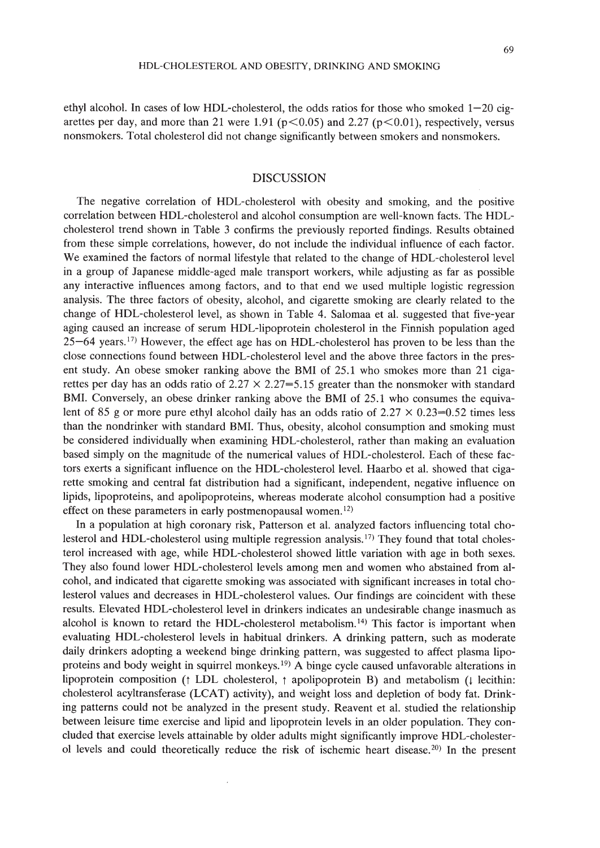ethyl alcohol. In cases of low HDL-cholesterol, the odds ratios for those who smoked  $1-20$  cigarettes per day, and more than 21 were 1.91 ( $p<0.05$ ) and 2.27 ( $p<0.01$ ), respectively, versus nonsmokers. Total cholesterol did not change significantly between smokers and nonsmokers.

# DISCUSSION

The negative correlation of HDL-cholesterol with obesity and smoking, and the positive correlation between HDL-cholesterol and alcohol consumption are well-known facts. The HDLcholesterol trend shown in Table 3 confirms the previously reported findings. Results obtained from these simple correlations, however, do not include the individual influence of each factor. We examined the factors of normal lifestyle that related to the change of HDL-cholesterol level in a group of Japanese middle-aged male transport workers, while adjusting as far as possible any interactive influences among factors, and to that end we used multiple logistic regression analysis. The three factors of obesity, alcohol, and cigarette smoking are clearly related to the change of HDL-cholesterol level, as shown in Table 4. Salomaa et al. suggested that five-year aging caused an increase of serum HDL-Iipoprotein cholesterol in the Finnish population aged  $25-64$  years.<sup>17</sup>) However, the effect age has on HDL-cholesterol has proven to be less than the close connections found between HDL-cholesterol level and the above three factors in the present study. An obese smoker ranking above the BMI of 25.1 who smokes more than 21 cigarettes per day has an odds ratio of  $2.27 \times 2.27=5.15$  greater than the nonsmoker with standard BMI. Conversely, an obese drinker ranking above the BMI of 25.1 who consumes the equivalent of 85 g or more pure ethyl alcohol daily has an odds ratio of  $2.27 \times 0.23 = 0.52$  times less than the nondrinker with standard BMI. Thus, obesity, alcohol consumption and smoking must be considered individually when examining HDL-cholesterol, rather than making an evaluation based simply on the magnitude of the numerical values of HDL-cholesterol. Each of these factors exerts a significant influence on the HDL-cholesterol level. Haarbo et al. showed that cigarette smoking and central fat distribution had a significant, independent, negative influence on lipids, lipoproteins, and apolipoproteins, whereas moderate alcohol consumption had a positive effect on these parameters in early postmenopausal women. $^{12}$ )

In a population at high coronary risk, Patterson et al. analyzed factors influencing total cholesterol and HDL-cholesterol using multiple regression analysis.<sup>17</sup> They found that total cholesterol increased with age, while HDL-cholesterol showed little variation with age in both sexes. They also found lower HDL-cholesterol levels among men and women who abstained from alcohol, and indicated that cigarette smoking was associated with significant increases in total cholesterol values and decreases in HDL-cholesterol values. Our findings are coincident with these results. Elevated HDL-cholesterol level in drinkers indicates an undesirable change inasmuch as alcohol is known to retard the HDL-cholesterol metabolism. 14) This factor is important when evaluating HDL-cholesterol levels in habitual drinkers. A drinking pattern, such as moderate daily drinkers adopting a weekend binge drinking pattern, was suggested to affect plasma lipoproteins and body weight in squirrel monkeys.19) A binge cycle caused unfavorable alterations in lipoprotein composition († LDL cholesterol, † apolipoprotein B) and metabolism († lecithin: cholesterol acyltransferase (LCAT) activity), and weight loss and depletion of body fat. Drinking patterns could not be analyzed in the present study. Reavent et al. studied the relationship between leisure time exercise and lipid and lipoprotein levels in an older population. They concluded that exercise levels attainable by older adults might significantly improve HDL-cholesterol levels and could theoretically reduce the risk of ischemic heart disease.<sup>20</sup>) In the present